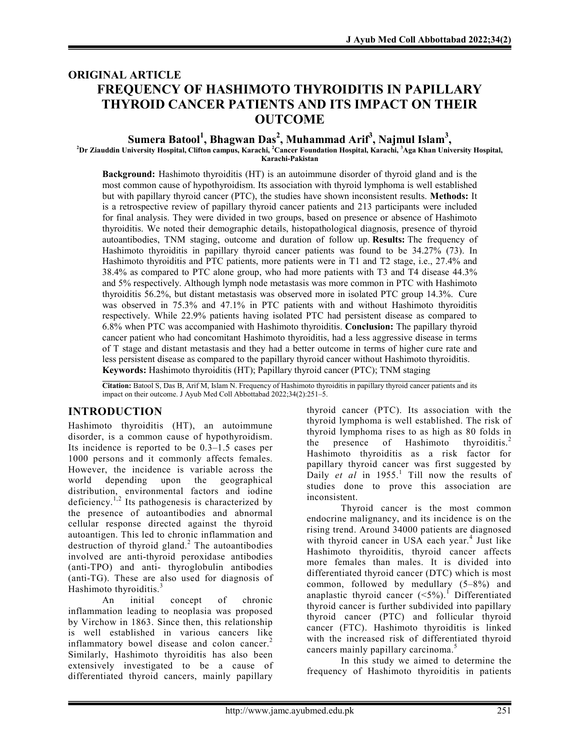# ORIGINAL ARTICLE FREQUENCY OF HASHIMOTO THYROIDITIS IN PAPILLARY THYROID CANCER PATIENTS AND ITS IMPACT ON THEIR OUTCOME

## Sumera Batool<sup>1</sup>, Bhagwan Das<sup>2</sup>, Muhammad Arif<sup>3</sup>, Najmul Islam<sup>3</sup>,

<sup>2</sup>Dr Ziauddin University Hospital, Clifton campus, Karachi, <sup>2</sup>Cancer Foundation Hospital, Karachi, <sup>3</sup>Aga Khan University Hospital, Karachi-Pakistan

Background: Hashimoto thyroiditis (HT) is an autoimmune disorder of thyroid gland and is the most common cause of hypothyroidism. Its association with thyroid lymphoma is well established but with papillary thyroid cancer (PTC), the studies have shown inconsistent results. **Methods:** It is a retrospective review of papillary thyroid cancer patients and 213 participants were included for final analysis. They were divided in two groups, based on presence or absence of Hashimoto thyroiditis. We noted their demographic details, histopathological diagnosis, presence of thyroid autoantibodies, TNM staging, outcome and duration of follow up. Results: The frequency of Hashimoto thyroiditis in papillary thyroid cancer patients was found to be 34.27% (73). In Hashimoto thyroiditis and PTC patients, more patients were in T1 and T2 stage, i.e., 27.4% and 38.4% as compared to PTC alone group, who had more patients with T3 and T4 disease 44.3% and 5% respectively. Although lymph node metastasis was more common in PTC with Hashimoto thyroiditis 56.2%, but distant metastasis was observed more in isolated PTC group 14.3%. Cure was observed in 75.3% and 47.1% in PTC patients with and without Hashimoto thyroiditis respectively. While 22.9% patients having isolated PTC had persistent disease as compared to 6.8% when PTC was accompanied with Hashimoto thyroiditis. Conclusion: The papillary thyroid cancer patient who had concomitant Hashimoto thyroiditis, had a less aggressive disease in terms of T stage and distant metastasis and they had a better outcome in terms of higher cure rate and less persistent disease as compared to the papillary thyroid cancer without Hashimoto thyroiditis. Keywords: Hashimoto thyroiditis (HT); Papillary thyroid cancer (PTC); TNM staging

Citation: Batool S, Das B, Arif M, Islam N. Frequency of Hashimoto thyroiditis in papillary thyroid cancer patients and its impact on their outcome. J Ayub Med Coll Abbottabad 2022;34(2):251–5.

## INTRODUCTION

Hashimoto thyroiditis (HT), an autoimmune disorder, is a common cause of hypothyroidism. Its incidence is reported to be 0.3–1.5 cases per 1000 persons and it commonly affects females. However, the incidence is variable across the world depending upon the geographical distribution, environmental factors and iodine deficiency.<sup>1,2</sup> Its pathogenesis is characterized by the presence of autoantibodies and abnormal cellular response directed against the thyroid autoantigen. This led to chronic inflammation and destruction of thyroid gland.<sup>2</sup> The autoantibodies involved are anti-thyroid peroxidase antibodies (anti-TPO) and anti- thyroglobulin antibodies (anti-TG). These are also used for diagnosis of Hashimoto thyroiditis.<sup>3</sup>

An initial concept of chronic inflammation leading to neoplasia was proposed by Virchow in 1863. Since then, this relationship is well established in various cancers like inflammatory bowel disease and colon cancer.<sup>2</sup> Similarly, Hashimoto thyroiditis has also been extensively investigated to be a cause of differentiated thyroid cancers, mainly papillary

thyroid cancer (PTC). Its association with the thyroid lymphoma is well established. The risk of thyroid lymphoma rises to as high as 80 folds in the presence of Hashimoto thyroiditis.<sup>2</sup> Hashimoto thyroiditis as a risk factor for papillary thyroid cancer was first suggested by Daily et al in  $1955$ .<sup>1</sup> Till now the results of studies done to prove this association are inconsistent.

Thyroid cancer is the most common endocrine malignancy, and its incidence is on the rising trend. Around 34000 patients are diagnosed with thyroid cancer in USA each year.<sup>4</sup> Just like Hashimoto thyroiditis, thyroid cancer affects more females than males. It is divided into differentiated thyroid cancer (DTC) which is most common, followed by medullary (5–8%) and anaplastic thyroid cancer  $(<5\%)$ . Differentiated thyroid cancer is further subdivided into papillary thyroid cancer (PTC) and follicular thyroid cancer (FTC). Hashimoto thyroiditis is linked with the increased risk of differentiated thyroid cancers mainly papillary carcinoma.<sup>5</sup>

In this study we aimed to determine the frequency of Hashimoto thyroiditis in patients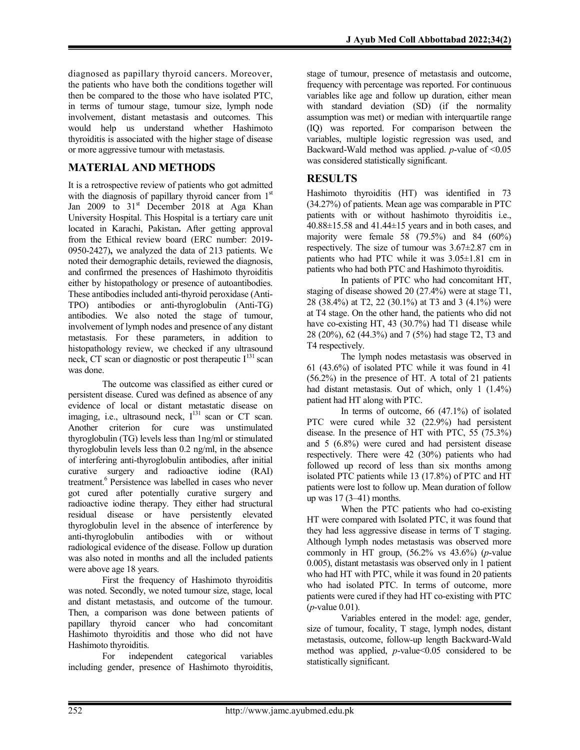diagnosed as papillary thyroid cancers. Moreover, the patients who have both the conditions together will then be compared to the those who have isolated PTC, in terms of tumour stage, tumour size, lymph node involvement, distant metastasis and outcomes. This would help us understand whether Hashimoto thyroiditis is associated with the higher stage of disease or more aggressive tumour with metastasis.

## MATERIAL AND METHODS

It is a retrospective review of patients who got admitted with the diagnosis of papillary thyroid cancer from  $1<sup>st</sup>$ Jan 2009 to  $31<sup>st</sup>$  December 2018 at Aga Khan University Hospital. This Hospital is a tertiary care unit located in Karachi, Pakistan. After getting approval from the Ethical review board (ERC number: 2019- 0950-2427), we analyzed the data of 213 patients. We noted their demographic details, reviewed the diagnosis, and confirmed the presences of Hashimoto thyroiditis either by histopathology or presence of autoantibodies. These antibodies included anti-thyroid peroxidase (Anti-TPO) antibodies or anti-thyroglobulin (Anti-TG) antibodies. We also noted the stage of tumour, involvement of lymph nodes and presence of any distant metastasis. For these parameters, in addition to histopathology review, we checked if any ultrasound neck, CT scan or diagnostic or post therapeutic  $I^{131}$  scan was done.

The outcome was classified as either cured or persistent disease. Cured was defined as absence of any evidence of local or distant metastatic disease on imaging, i.e., ultrasound neck,  $I^{131}$  scan or CT scan. Another criterion for cure was unstimulated thyroglobulin (TG) levels less than 1ng/ml or stimulated thyroglobulin levels less than 0.2 ng/ml, in the absence of interfering anti-thyroglobulin antibodies, after initial curative surgery and radioactive iodine (RAI) treatment.<sup>6</sup> Persistence was labelled in cases who never got cured after potentially curative surgery and radioactive iodine therapy. They either had structural residual disease or have persistently elevated thyroglobulin level in the absence of interference by anti-thyroglobulin antibodies with or without radiological evidence of the disease. Follow up duration was also noted in months and all the included patients were above age 18 years.

First the frequency of Hashimoto thyroiditis was noted. Secondly, we noted tumour size, stage, local and distant metastasis, and outcome of the tumour. Then, a comparison was done between patients of papillary thyroid cancer who had concomitant Hashimoto thyroiditis and those who did not have Hashimoto thyroiditis.

For independent categorical variables including gender, presence of Hashimoto thyroiditis, stage of tumour, presence of metastasis and outcome, frequency with percentage was reported. For continuous variables like age and follow up duration, either mean with standard deviation (SD) (if the normality assumption was met) or median with interquartile range (IQ) was reported. For comparison between the variables, multiple logistic regression was used, and Backward-Wald method was applied. *p*-value of  $\leq 0.05$ was considered statistically significant.

### RESULTS

Hashimoto thyroiditis (HT) was identified in 73 (34.27%) of patients. Mean age was comparable in PTC patients with or without hashimoto thyroiditis i.e.,  $40.88\pm15.58$  and  $41.44\pm15$  years and in both cases, and majority were female 58 (79.5%) and 84 (60%) respectively. The size of tumour was 3.67±2.87 cm in patients who had PTC while it was 3.05±1.81 cm in patients who had both PTC and Hashimoto thyroiditis.

In patients of PTC who had concomitant HT, staging of disease showed 20 (27.4%) were at stage T1, 28 (38.4%) at T2, 22 (30.1%) at T3 and 3 (4.1%) were at T4 stage. On the other hand, the patients who did not have co-existing HT, 43 (30.7%) had T1 disease while 28 (20%), 62 (44.3%) and 7 (5%) had stage T2, T3 and T4 respectively.

The lymph nodes metastasis was observed in 61 (43.6%) of isolated PTC while it was found in 41 (56.2%) in the presence of HT. A total of 21 patients had distant metastasis. Out of which, only 1 (1.4%) patient had HT along with PTC.

In terms of outcome, 66 (47.1%) of isolated PTC were cured while 32 (22.9%) had persistent disease. In the presence of HT with PTC, 55 (75.3%) and 5 (6.8%) were cured and had persistent disease respectively. There were 42 (30%) patients who had followed up record of less than six months among isolated PTC patients while 13 (17.8%) of PTC and HT patients were lost to follow up. Mean duration of follow up was  $17(3-41)$  months.

When the PTC patients who had co-existing HT were compared with Isolated PTC, it was found that they had less aggressive disease in terms of T staging. Although lymph nodes metastasis was observed more commonly in HT group,  $(56.2\% \text{ vs } 43.6\%)$  (*p*-value 0.005), distant metastasis was observed only in 1 patient who had HT with PTC, while it was found in 20 patients who had isolated PTC. In terms of outcome, more patients were cured if they had HT co-existing with PTC  $(p$ -value  $0.01)$ .

Variables entered in the model: age, gender, size of tumour, focality, T stage, lymph nodes, distant metastasis, outcome, follow-up length Backward-Wald method was applied,  $p$ -value< $0.05$  considered to be statistically significant.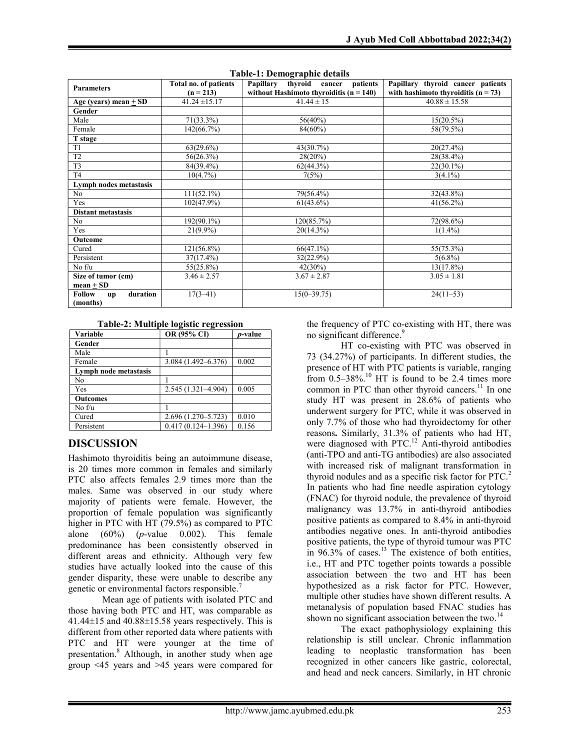| <b>Parameters</b>                           | Total no. of patients<br>$(n = 213)$ | Papillary<br>thyroid cancer patients<br>without Hashimoto thyroiditis $(n = 140)$ | Papillary thyroid cancer patients<br>with hashimoto thyroiditis $(n = 73)$ |
|---------------------------------------------|--------------------------------------|-----------------------------------------------------------------------------------|----------------------------------------------------------------------------|
| Age (years) mean $\pm$ SD                   | $41.24 \pm 15.17$                    | $41.44 \pm 15$                                                                    | $40.88 \pm 15.58$                                                          |
| Gender                                      |                                      |                                                                                   |                                                                            |
| Male                                        | 71(33.3%)                            | $56(40\%)$                                                                        | $15(20.5\%)$                                                               |
| Female                                      | 142(66.7%)                           | 84(60%)                                                                           | 58(79.5%)                                                                  |
| T stage                                     |                                      |                                                                                   |                                                                            |
| T <sub>1</sub>                              | 63(29.6%)                            | 43(30.7%)                                                                         | $20(27.4\%)$                                                               |
| T <sub>2</sub>                              | 56(26.3%)                            | 28(20%)                                                                           | 28(38.4%)                                                                  |
| T <sub>3</sub>                              | 84(39.4%)                            | 62(44.3%)                                                                         | $22(30.1\%)$                                                               |
| T <sub>4</sub>                              | 10(4.7%)                             | 7(5%)                                                                             | $3(4.1\%)$                                                                 |
| Lymph nodes metastasis                      |                                      |                                                                                   |                                                                            |
| No                                          | $111(52.1\%)$                        | 79(56.4%)                                                                         | 32(43.8%)                                                                  |
| Yes                                         | $102(47.9\%)$                        | $61(43.6\%)$                                                                      | $41(56.2\%)$                                                               |
| <b>Distant metastasis</b>                   |                                      |                                                                                   |                                                                            |
| No                                          | 192(90.1%)                           | 120(85.7%)                                                                        | 72(98.6%)                                                                  |
| Yes                                         | $21(9.9\%)$                          | 20(14.3%)                                                                         | $1(1.4\%)$                                                                 |
| Outcome                                     |                                      |                                                                                   |                                                                            |
| Cured                                       | 121(56.8%)                           | $66(47.1\%)$                                                                      | 55(75.3%)                                                                  |
| Persistent                                  | 37(17.4%)                            | 32(22.9%)                                                                         | $5(6.8\%)$                                                                 |
| No f/u                                      | 55(25.8%)                            | $42(30\%)$                                                                        | $13(17.8\%)$                                                               |
| Size of tumor (cm)                          | $3.46 \pm 2.57$                      | $3.67 \pm 2.87$                                                                   | $3.05 \pm 1.81$                                                            |
| $mean + SD$                                 |                                      |                                                                                   |                                                                            |
| duration<br><b>Follow</b><br>up<br>(months) | $17(3-41)$                           | $15(0-39.75)$                                                                     | $24(11-53)$                                                                |

Table-1: Demographic details

Table-2: Multiple logistic regression

| Variable              | OR (95% CI)            | <i>p</i> -value |
|-----------------------|------------------------|-----------------|
| Gender                |                        |                 |
| Male                  |                        |                 |
| Female                | 3.084 (1.492-6.376)    | 0.002           |
| Lymph node metastasis |                        |                 |
| No                    |                        |                 |
| Yes                   | $2.545(1.321 - 4.904)$ | 0.005           |
| <b>Outcomes</b>       |                        |                 |
| No $f/u$              |                        |                 |
| Cured                 | $2.696(1.270 - 5.723)$ | 0.010           |
| Persistent            | $0.417(0.124 - 1.396)$ | 0.156           |

### DISCUSSION

Hashimoto thyroiditis being an autoimmune disease, is 20 times more common in females and similarly PTC also affects females 2.9 times more than the males. Same was observed in our study where majority of patients were female. However, the proportion of female population was significantly higher in PTC with HT (79.5%) as compared to PTC alone (60%) (p-value 0.002). This female predominance has been consistently observed in different areas and ethnicity. Although very few studies have actually looked into the cause of this gender disparity, these were unable to describe any genetic or environmental factors responsible.<sup>7</sup>

Mean age of patients with isolated PTC and those having both PTC and HT, was comparable as  $41.44\pm15$  and  $40.88\pm15.58$  years respectively. This is different from other reported data where patients with PTC and HT were younger at the time of presentation.<sup>8</sup> Although, in another study when age group <45 years and >45 years were compared for

the frequency of PTC co-existing with HT, there was no significant difference.<sup>9</sup>

HT co-existing with PTC was observed in 73 (34.27%) of participants. In different studies, the presence of HT with PTC patients is variable, ranging from  $0.5-38\%$ .<sup>10</sup> HT is found to be 2.4 times more common in PTC than other thyroid cancers.<sup>11</sup> In one study HT was present in 28.6% of patients who underwent surgery for PTC, while it was observed in only 7.7% of those who had thyroidectomy for other reasons. Similarly, 31.3% of patients who had HT, were diagnosed with PTC.<sup>12</sup> Anti-thyroid antibodies (anti-TPO and anti-TG antibodies) are also associated with increased risk of malignant transformation in thyroid nodules and as a specific risk factor for  $\text{PTC}^2$ . In patients who had fine needle aspiration cytology (FNAC) for thyroid nodule, the prevalence of thyroid malignancy was 13.7% in anti-thyroid antibodies positive patients as compared to 8.4% in anti-thyroid antibodies negative ones. In anti-thyroid antibodies positive patients, the type of thyroid tumour was PTC in  $96.3\%$  of cases.<sup>13</sup> The existence of both entities, i.e., HT and PTC together points towards a possible association between the two and HT has been hypothesized as a risk factor for PTC. However, multiple other studies have shown different results. A metanalysis of population based FNAC studies has shown no significant association between the two. $^{14}$ 

The exact pathophysiology explaining this relationship is still unclear. Chronic inflammation leading to neoplastic transformation has been recognized in other cancers like gastric, colorectal, and head and neck cancers. Similarly, in HT chronic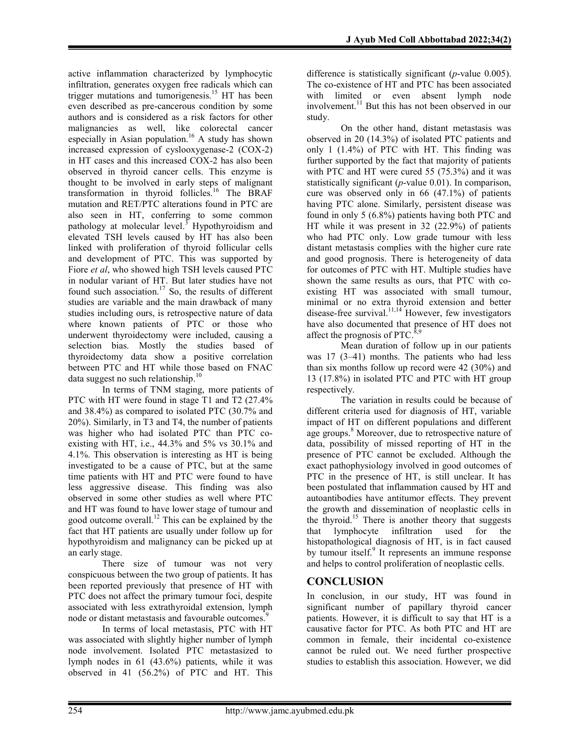active inflammation characterized by lymphocytic infiltration, generates oxygen free radicals which can trigger mutations and tumorigenesis.<sup>15</sup> HT has been even described as pre-cancerous condition by some authors and is considered as a risk factors for other malignancies as well, like colorectal cancer especially in Asian population.<sup>16</sup> A study has shown increased expression of cyslooxygenase-2 (COX-2) in HT cases and this increased COX-2 has also been observed in thyroid cancer cells. This enzyme is thought to be involved in early steps of malignant transformation in thyroid follicles.<sup>16</sup> The BRAF mutation and RET/PTC alterations found in PTC are also seen in HT, conferring to some common pathology at molecular level.<sup>3</sup> Hypothyroidism and elevated TSH levels caused by HT has also been linked with proliferation of thyroid follicular cells and development of PTC. This was supported by Fiore et al, who showed high TSH levels caused PTC in nodular variant of HT. But later studies have not found such association.<sup>17</sup> So, the results of different studies are variable and the main drawback of many studies including ours, is retrospective nature of data where known patients of PTC or those who underwent thyroidectomy were included, causing a selection bias. Mostly the studies based of thyroidectomy data show a positive correlation between PTC and HT while those based on FNAC data suggest no such relationship. $^{10}$ 

In terms of TNM staging, more patients of PTC with HT were found in stage T1 and T2 (27.4% and 38.4%) as compared to isolated PTC (30.7% and 20%). Similarly, in T3 and T4, the number of patients was higher who had isolated PTC than PTC coexisting with HT, i.e., 44.3% and 5% vs 30.1% and 4.1%. This observation is interesting as HT is being investigated to be a cause of PTC, but at the same time patients with HT and PTC were found to have less aggressive disease. This finding was also observed in some other studies as well where PTC and HT was found to have lower stage of tumour and good outcome overall.<sup>12</sup> This can be explained by the fact that HT patients are usually under follow up for hypothyroidism and malignancy can be picked up at an early stage.

There size of tumour was not very conspicuous between the two group of patients. It has been reported previously that presence of HT with PTC does not affect the primary tumour foci, despite associated with less extrathyroidal extension, lymph node or distant metastasis and favourable outcomes.<sup>9</sup>

In terms of local metastasis, PTC with HT was associated with slightly higher number of lymph node involvement. Isolated PTC metastasized to lymph nodes in 61 (43.6%) patients, while it was observed in 41 (56.2%) of PTC and HT. This difference is statistically significant ( $p$ -value 0.005). The co-existence of HT and PTC has been associated with limited or even absent lymph node involvement.<sup>11</sup> But this has not been observed in our study.

On the other hand, distant metastasis was observed in 20 (14.3%) of isolated PTC patients and only 1 (1.4%) of PTC with HT. This finding was further supported by the fact that majority of patients with PTC and HT were cured 55 (75.3%) and it was statistically significant (p-value 0.01). In comparison, cure was observed only in 66 (47.1%) of patients having PTC alone. Similarly, persistent disease was found in only 5 (6.8%) patients having both PTC and HT while it was present in 32 (22.9%) of patients who had PTC only. Low grade tumour with less distant metastasis complies with the higher cure rate and good prognosis. There is heterogeneity of data for outcomes of PTC with HT. Multiple studies have shown the same results as ours, that PTC with coexisting HT was associated with small tumour, minimal or no extra thyroid extension and better disease-free survival.<sup>11,14</sup> However, few investigators have also documented that presence of HT does not affect the prognosis of PTC.<sup>8,9</sup>

Mean duration of follow up in our patients was 17 (3–41) months. The patients who had less than six months follow up record were 42 (30%) and 13 (17.8%) in isolated PTC and PTC with HT group respectively.

The variation in results could be because of different criteria used for diagnosis of HT, variable impact of HT on different populations and different age groups.<sup>8</sup> Moreover, due to retrospective nature of data, possibility of missed reporting of HT in the presence of PTC cannot be excluded. Although the exact pathophysiology involved in good outcomes of PTC in the presence of HT, is still unclear. It has been postulated that inflammation caused by HT and autoantibodies have antitumor effects. They prevent the growth and dissemination of neoplastic cells in the thyroid.<sup>15</sup> There is another theory that suggests that lymphocyte infiltration used for the histopathological diagnosis of HT, is in fact caused by tumour itself.<sup>9</sup> It represents an immune response and helps to control proliferation of neoplastic cells.

### **CONCLUSION**

In conclusion, in our study, HT was found in significant number of papillary thyroid cancer patients. However, it is difficult to say that HT is a causative factor for PTC. As both PTC and HT are common in female, their incidental co-existence cannot be ruled out. We need further prospective studies to establish this association. However, we did